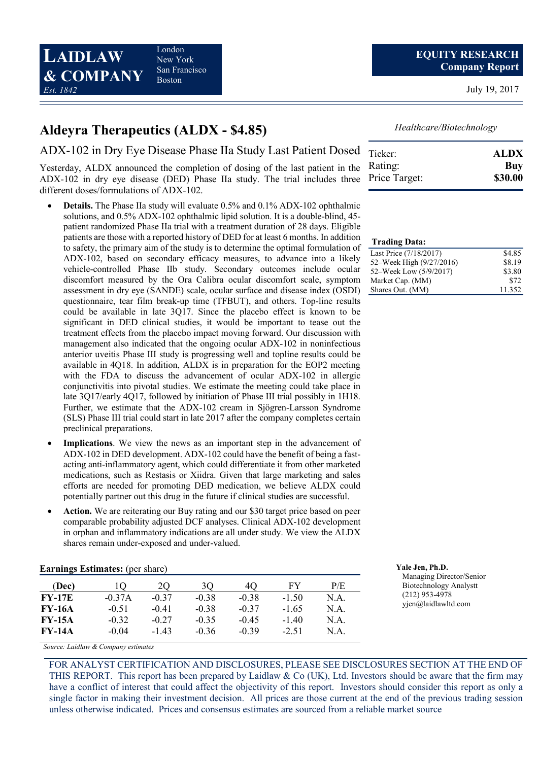LAIDLAW & COMPANY Est. 1842

London New York San Francisco Boston

July 19, 2017

## Aldeyra Therapeutics (ALDX - \$4.85)

ADX-102 in Dry Eye Disease Phase IIa Study Last Patient Dosed

Yesterday, ALDX announced the completion of dosing of the last patient in the ADX-102 in dry eye disease (DED) Phase IIa study. The trial includes three different doses/formulations of ADX-102.

- Details. The Phase IIa study will evaluate 0.5% and 0.1% ADX-102 ophthalmic solutions, and 0.5% ADX-102 ophthalmic lipid solution. It is a double-blind, 45 patient randomized Phase IIa trial with a treatment duration of 28 days. Eligible patients are those with a reported history of DED for at least 6 months. In addition to safety, the primary aim of the study is to determine the optimal formulation of ADX-102, based on secondary efficacy measures, to advance into a likely vehicle-controlled Phase IIb study. Secondary outcomes include ocular discomfort measured by the Ora Calibra ocular discomfort scale, symptom assessment in dry eye (SANDE) scale, ocular surface and disease index (OSDI) questionnaire, tear film break-up time (TFBUT), and others. Top-line results could be available in late 3Q17. Since the placebo effect is known to be significant in DED clinical studies, it would be important to tease out the treatment effects from the placebo impact moving forward. Our discussion with management also indicated that the ongoing ocular ADX-102 in noninfectious anterior uveitis Phase III study is progressing well and topline results could be available in 4Q18. In addition, ALDX is in preparation for the EOP2 meeting with the FDA to discuss the advancement of ocular ADX-102 in allergic conjunctivitis into pivotal studies. We estimate the meeting could take place in late 3Q17/early 4Q17, followed by initiation of Phase III trial possibly in 1H18. Further, we estimate that the ADX-102 cream in Sjögren-Larsson Syndrome (SLS) Phase III trial could start in late 2017 after the company completes certain preclinical preparations.
- Implications. We view the news as an important step in the advancement of ADX-102 in DED development. ADX-102 could have the benefit of being a fastacting anti-inflammatory agent, which could differentiate it from other marketed medications, such as Restasis or Xiidra. Given that large marketing and sales efforts are needed for promoting DED medication, we believe ALDX could potentially partner out this drug in the future if clinical studies are successful.
- Action. We are reiterating our Buy rating and our \$30 target price based on peer comparable probability adjusted DCF analyses. Clinical ADX-102 development in orphan and inflammatory indications are all under study. We view the ALDX shares remain under-exposed and under-valued.

| <b>Earnings Estimates:</b> (per share) | <b>Yale Jen. Ph.D.</b> |
|----------------------------------------|------------------------|
|----------------------------------------|------------------------|

| (Dec)         |          | 20      | 30      | 40      | FY      | P/E  |
|---------------|----------|---------|---------|---------|---------|------|
| $FY-17E$      | $-0.37A$ | $-0.37$ | $-0.38$ | $-0.38$ | $-1.50$ | N.A. |
| <b>FY-16A</b> | $-0.51$  | $-0.41$ | $-0.38$ | $-0.37$ | $-1.65$ | N.A. |
| <b>FY-15A</b> | $-0.32$  | $-0.27$ | $-0.35$ | $-0.45$ | $-140$  | N.A. |
| <b>FY-14A</b> | $-0.04$  | $-1.43$ | $-0.36$ | $-0.39$ | $-2.51$ | N.A. |

Healthcare/Biotechnology

| Ticker:       | <b>ALDX</b> |
|---------------|-------------|
| Rating:       | Buy         |
| Price Target: | \$30.00     |

#### Trading Data:

| Last Price (7/18/2017)   | \$4.85 |
|--------------------------|--------|
| 52–Week High (9/27/2016) | \$8.19 |
| 52–Week Low (5/9/2017)   | \$3.80 |
| Market Cap. (MM)         | \$72   |
| Shares Out. (MM)         | 11.352 |

| Yale Jen, Ph.D.               |
|-------------------------------|
| Managing Director/Senior      |
| <b>Biotechnology Analystt</b> |
| $(212)$ 953-4978              |
| yjen@laidlawltd.com           |

Source: Laidlaw & Company estimates

FOR ANALYST CERTIFICATION AND DISCLOSURES, PLEASE SEE DISCLOSURES SECTION AT THE END OF THIS REPORT. This report has been prepared by Laidlaw  $\&$  Co (UK), Ltd. Investors should be aware that the firm may have a conflict of interest that could affect the objectivity of this report. Investors should consider this report as only a single factor in making their investment decision. All prices are those current at the end of the previous trading session unless otherwise indicated. Prices and consensus estimates are sourced from a reliable market source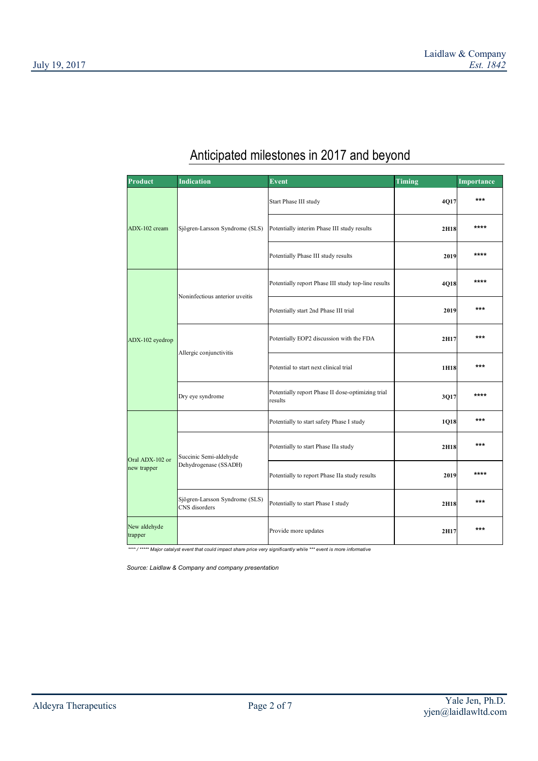| Product                        | <b>Indication</b>                               | Event                                                        | Timing | Importance |
|--------------------------------|-------------------------------------------------|--------------------------------------------------------------|--------|------------|
|                                |                                                 | Start Phase III study                                        | 4Q17   | $***$      |
| ADX-102 cream                  | Sjögren-Larsson Syndrome (SLS)                  | Potentially interim Phase III study results                  | 2H18   | ****       |
|                                |                                                 | Potentially Phase III study results                          | 2019   | ****       |
|                                | Noninfectious anterior uveitis                  | Potentially report Phase III study top-line results          | 4Q18   | ****       |
|                                |                                                 | Potentially start 2nd Phase III trial                        | 2019   | $***$      |
| ADX-102 eyedrop                |                                                 | Potentially EOP2 discussion with the FDA                     | 2H17   | $***$      |
|                                | Allergic conjunctivitis                         | Potential to start next clinical trial                       | 1H18   | ***        |
|                                | Dry eye syndrome                                | Potentially report Phase II dose-optimizing trial<br>results | 3Q17   | ****       |
| Oral ADX-102 or<br>new trapper |                                                 | Potentially to start safety Phase I study                    | 1Q18   | $***$      |
|                                | Succinic Semi-aldehyde                          | Potentially to start Phase IIa study                         | 2H18   | ***        |
|                                | Dehydrogenase (SSADH)                           | Potentially to report Phase IIa study results                | 2019   | ****       |
|                                | Sjögren-Larsson Syndrome (SLS)<br>CNS disorders | Potentially to start Phase I study                           | 2H18   | ***        |
| New aldehyde<br>trapper        |                                                 | Provide more updates                                         | 2H17   | ***        |

# Anticipated milestones in 2017 and beyond

\*\*\*\*\* / \*\*\*\*\* Major catalyst event that could impact share price very significantly while \*\*\* event is more informative

Source: Laidlaw & Company and company presentation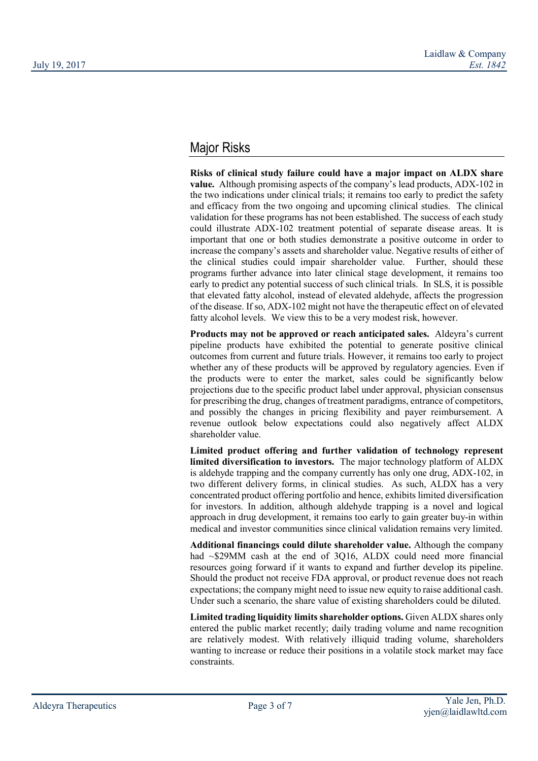## Major Risks

Risks of clinical study failure could have a major impact on ALDX share value. Although promising aspects of the company's lead products, ADX-102 in the two indications under clinical trials; it remains too early to predict the safety and efficacy from the two ongoing and upcoming clinical studies. The clinical validation for these programs has not been established. The success of each study could illustrate ADX-102 treatment potential of separate disease areas. It is important that one or both studies demonstrate a positive outcome in order to increase the company's assets and shareholder value. Negative results of either of the clinical studies could impair shareholder value. Further, should these programs further advance into later clinical stage development, it remains too early to predict any potential success of such clinical trials. In SLS, it is possible that elevated fatty alcohol, instead of elevated aldehyde, affects the progression of the disease. If so, ADX-102 might not have the therapeutic effect on of elevated fatty alcohol levels. We view this to be a very modest risk, however.

Products may not be approved or reach anticipated sales. Aldeyra's current pipeline products have exhibited the potential to generate positive clinical outcomes from current and future trials. However, it remains too early to project whether any of these products will be approved by regulatory agencies. Even if the products were to enter the market, sales could be significantly below projections due to the specific product label under approval, physician consensus for prescribing the drug, changes of treatment paradigms, entrance of competitors, and possibly the changes in pricing flexibility and payer reimbursement. A revenue outlook below expectations could also negatively affect ALDX shareholder value.

Limited product offering and further validation of technology represent limited diversification to investors. The major technology platform of ALDX is aldehyde trapping and the company currently has only one drug, ADX-102, in two different delivery forms, in clinical studies. As such, ALDX has a very concentrated product offering portfolio and hence, exhibits limited diversification for investors. In addition, although aldehyde trapping is a novel and logical approach in drug development, it remains too early to gain greater buy-in within medical and investor communities since clinical validation remains very limited.

Additional financings could dilute shareholder value. Although the company had ~\$29MM cash at the end of 3Q16, ALDX could need more financial resources going forward if it wants to expand and further develop its pipeline. Should the product not receive FDA approval, or product revenue does not reach expectations; the company might need to issue new equity to raise additional cash. Under such a scenario, the share value of existing shareholders could be diluted.

Limited trading liquidity limits shareholder options. Given ALDX shares only entered the public market recently; daily trading volume and name recognition are relatively modest. With relatively illiquid trading volume, shareholders wanting to increase or reduce their positions in a volatile stock market may face constraints.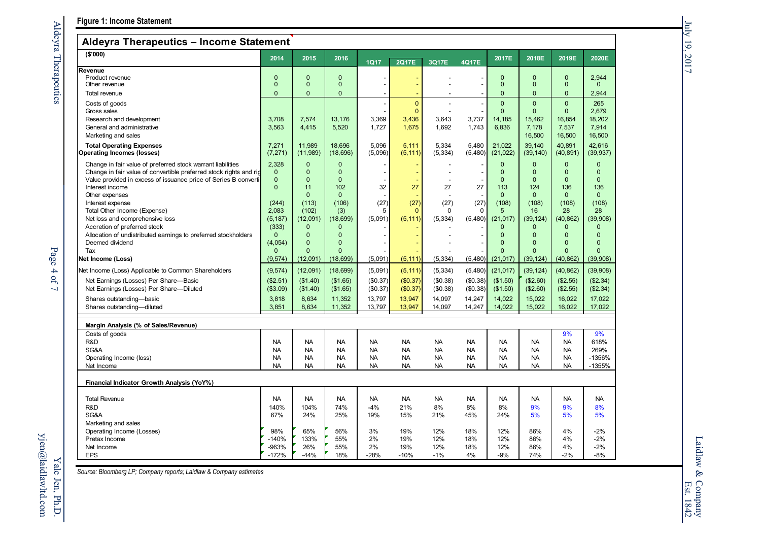### Aldeyra Therapeutics – Income Statement

| $A$ luevia Tilerapeutics – ilicollie Statellielit                                                                                                                                                                                                                                                                                                                                                                                                                                                                                                                                                                             |                                                                                                                                                                        |                                                                                                                                                                                                      |                                                                                                                                                                                            |                                                                          |                                                                                    |                                                                                    |                                                                                 |                                                                                                                                                                                          |                                                                                                                                                                                         |                                                                                                                                                                                               |                                                                                                                                                                                                            |
|-------------------------------------------------------------------------------------------------------------------------------------------------------------------------------------------------------------------------------------------------------------------------------------------------------------------------------------------------------------------------------------------------------------------------------------------------------------------------------------------------------------------------------------------------------------------------------------------------------------------------------|------------------------------------------------------------------------------------------------------------------------------------------------------------------------|------------------------------------------------------------------------------------------------------------------------------------------------------------------------------------------------------|--------------------------------------------------------------------------------------------------------------------------------------------------------------------------------------------|--------------------------------------------------------------------------|------------------------------------------------------------------------------------|------------------------------------------------------------------------------------|---------------------------------------------------------------------------------|------------------------------------------------------------------------------------------------------------------------------------------------------------------------------------------|-----------------------------------------------------------------------------------------------------------------------------------------------------------------------------------------|-----------------------------------------------------------------------------------------------------------------------------------------------------------------------------------------------|------------------------------------------------------------------------------------------------------------------------------------------------------------------------------------------------------------|
| ( \$'000)                                                                                                                                                                                                                                                                                                                                                                                                                                                                                                                                                                                                                     | 2014                                                                                                                                                                   | 2015                                                                                                                                                                                                 | 2016                                                                                                                                                                                       | <b>1Q17</b>                                                              | <b>2Q17E</b>                                                                       | 3Q17E                                                                              | 4Q17E                                                                           | 2017E                                                                                                                                                                                    | 2018E                                                                                                                                                                                   | 2019E                                                                                                                                                                                         | 2020E                                                                                                                                                                                                      |
| Revenue<br>Product revenue<br>Other revenue                                                                                                                                                                                                                                                                                                                                                                                                                                                                                                                                                                                   | $\mathbf 0$<br>$\mathbf 0$                                                                                                                                             | $\mathbf{0}$<br>$\mathbf{0}$                                                                                                                                                                         | $\mathbf{0}$<br>$\mathbf 0$                                                                                                                                                                | $\overline{a}$                                                           | $\blacksquare$                                                                     |                                                                                    |                                                                                 | $\mathbf 0$<br>$\mathbf{0}$                                                                                                                                                              | $\Omega$<br>$\mathbf{0}$                                                                                                                                                                | $\mathbf{0}$<br>$\mathbf{0}$                                                                                                                                                                  | 2,944<br>$\mathbf{0}$                                                                                                                                                                                      |
| Total revenue                                                                                                                                                                                                                                                                                                                                                                                                                                                                                                                                                                                                                 | 0                                                                                                                                                                      | $\mathbf{0}$                                                                                                                                                                                         | $\mathbf{0}$                                                                                                                                                                               |                                                                          |                                                                                    |                                                                                    |                                                                                 | $\mathbf{0}$                                                                                                                                                                             | $\Omega$                                                                                                                                                                                | $\mathbf{0}$                                                                                                                                                                                  | 2,944                                                                                                                                                                                                      |
| Costs of goods<br>Gross sales<br>Research and development<br>General and administrative<br>Marketing and sales                                                                                                                                                                                                                                                                                                                                                                                                                                                                                                                | 3.708<br>3,563                                                                                                                                                         | 7,574<br>4,415                                                                                                                                                                                       | 13,176<br>5,520                                                                                                                                                                            | 3,369<br>1,727                                                           | $\mathbf{0}$<br>$\mathbf{0}$<br>3,436<br>1,675                                     | 3,643<br>1,692                                                                     | 3,737<br>1,743                                                                  | $\Omega$<br>$\Omega$<br>14,185<br>6,836                                                                                                                                                  | $\Omega$<br>$\Omega$<br>15.462<br>7,178<br>16,500                                                                                                                                       | $\Omega$<br>$\Omega$<br>16.854<br>7,537<br>16,500                                                                                                                                             | 265<br>2,679<br>18,202<br>7,914<br>16,500                                                                                                                                                                  |
| <b>Total Operating Expenses</b><br><b>Operating Incomes (losses)</b>                                                                                                                                                                                                                                                                                                                                                                                                                                                                                                                                                          | 7,271<br>(7, 271)                                                                                                                                                      | 11.989<br>(11,989)                                                                                                                                                                                   | 18.696<br>(18, 696)                                                                                                                                                                        | 5.096<br>(5,096)                                                         | 5.111<br>(5, 111)                                                                  | 5,334<br>(5, 334)                                                                  | 5.480<br>(5,480)                                                                | 21.022<br>(21, 022)                                                                                                                                                                      | 39.140<br>(39, 140)                                                                                                                                                                     | 40.891<br>(40, 891)                                                                                                                                                                           | 42.616<br>(39, 937)                                                                                                                                                                                        |
| Change in fair value of preferred stock warrant liabilities<br>Change in fair value of convertible preferred stock rights and rig<br>Value provided in excess of issuance price of Series B convertil<br>Interest income<br>Other expenses<br>Interest expense<br>Total Other Income (Expense)<br>Net loss and comprehensive loss<br>Accretion of preferred stock<br>Allocation of undistributed earnings to preferred stockholders<br>Deemed dividend<br>Tax<br>Net Income (Loss)<br>Net Income (Loss) Applicable to Common Shareholders<br>Net Earnings (Losses) Per Share-Basic<br>Net Earnings (Losses) Per Share-Diluted | 2,328<br>$\mathbf{0}$<br>$\mathbf 0$<br>0<br>(244)<br>2,083<br>(5, 187)<br>(333)<br>$\mathbf 0$<br>(4,054)<br>$\Omega$<br>(9, 574)<br>(9, 574)<br>(\$2.51)<br>(\$3.09) | $\Omega$<br>$\mathbf{0}$<br>$\Omega$<br>11<br>$\Omega$<br>(113)<br>(102)<br>(12,091)<br>$\mathbf{0}$<br>$\overline{0}$<br>$\overline{0}$<br>$\Omega$<br>(12,091)<br>(12,091)<br>(\$1.40)<br>(\$1.40) | $\Omega$<br>$\mathbf{0}$<br>$\Omega$<br>102<br>$\Omega$<br>(106)<br>(3)<br>(18, 699)<br>$\mathbf{0}$<br>$\Omega$<br>$\Omega$<br>$\Omega$<br>(18, 699)<br>(18, 699)<br>(\$1.65)<br>(\$1.65) | 32<br>(27)<br>5<br>(5,091)<br>(5,091)<br>(5,091)<br>(\$0.37)<br>(\$0.37) | 27<br>(27)<br>$\Omega$<br>(5, 111)<br>(5, 111)<br>(5, 111)<br>(\$0.37)<br>(\$0.37) | 27<br>(27)<br>$\Omega$<br>(5, 334)<br>(5, 334)<br>(5, 334)<br>(\$0.38)<br>(\$0.38) | 27<br>(27)<br>$\Omega$<br>(5,480)<br>(5,480)<br>(5,480)<br>(\$0.38)<br>(\$0.38) | $\Omega$<br>$\mathbf{0}$<br>$\Omega$<br>113<br>$\Omega$<br>(108)<br>5<br>(21, 017)<br>$\mathbf{0}$<br>$\Omega$<br>$\Omega$<br>$\Omega$<br>(21, 017)<br>(21, 017)<br>(\$1.50)<br>(\$1.50) | $\Omega$<br>$\Omega$<br>$\Omega$<br>124<br>$\Omega$<br>(108)<br>16<br>(39, 124)<br>$\overline{0}$<br>$\Omega$<br>$\Omega$<br>$\Omega$<br>(39, 124)<br>(39, 124)<br>(\$2.60)<br>(\$2.60) | $\Omega$<br>$\mathbf{0}$<br>$\Omega$<br>136<br>$\Omega$<br>(108)<br>28<br>(40, 862)<br>$\mathbf{0}$<br>$\mathbf{0}$<br>$\Omega$<br>$\Omega$<br>(40, 862)<br>(40, 862)<br>(\$2.55)<br>(\$2.55) | $\mathbf 0$<br>$\mathbf{0}$<br>$\Omega$<br>136<br>$\mathbf{0}$<br>(108)<br>28<br>(39,908)<br>$\mathbf{0}$<br>$\overline{0}$<br>$\overline{0}$<br>$\Omega$<br>(39,908)<br>(39, 908)<br>(\$2.34)<br>(\$2.34) |
| Shares outstanding-basic<br>Shares outstanding-diluted                                                                                                                                                                                                                                                                                                                                                                                                                                                                                                                                                                        | 3,818<br>3,851                                                                                                                                                         | 8,634<br>8,634                                                                                                                                                                                       | 11,352<br>11,352                                                                                                                                                                           | 13,797<br>13,797                                                         | 13,947<br>13,947                                                                   | 14,097<br>14,097                                                                   | 14,247<br>14,247                                                                | 14,022<br>14,022                                                                                                                                                                         | 15,022<br>15,022                                                                                                                                                                        | 16,022<br>16,022                                                                                                                                                                              | 17,022<br>17,022                                                                                                                                                                                           |
| Margin Analysis (% of Sales/Revenue)                                                                                                                                                                                                                                                                                                                                                                                                                                                                                                                                                                                          |                                                                                                                                                                        |                                                                                                                                                                                                      |                                                                                                                                                                                            |                                                                          |                                                                                    |                                                                                    |                                                                                 |                                                                                                                                                                                          |                                                                                                                                                                                         |                                                                                                                                                                                               |                                                                                                                                                                                                            |
| Costs of goods<br>R&D<br>SG&A<br>Operating Income (loss)<br>Net Income                                                                                                                                                                                                                                                                                                                                                                                                                                                                                                                                                        | <b>NA</b><br><b>NA</b><br><b>NA</b><br><b>NA</b>                                                                                                                       | <b>NA</b><br><b>NA</b><br><b>NA</b><br><b>NA</b>                                                                                                                                                     | <b>NA</b><br><b>NA</b><br><b>NA</b><br><b>NA</b>                                                                                                                                           | <b>NA</b><br><b>NA</b><br><b>NA</b><br><b>NA</b>                         | <b>NA</b><br><b>NA</b><br><b>NA</b><br><b>NA</b>                                   | <b>NA</b><br><b>NA</b><br><b>NA</b><br><b>NA</b>                                   | <b>NA</b><br><b>NA</b><br><b>NA</b><br><b>NA</b>                                | <b>NA</b><br><b>NA</b><br><b>NA</b><br><b>NA</b>                                                                                                                                         | <b>NA</b><br><b>NA</b><br><b>NA</b><br><b>NA</b>                                                                                                                                        | 9%<br><b>NA</b><br><b>NA</b><br><b>NA</b><br><b>NA</b>                                                                                                                                        | 9%<br>618%<br>269%<br>$-1356%$<br>$-1355%$                                                                                                                                                                 |
| Financial Indicator Growth Analysis (YoY%)                                                                                                                                                                                                                                                                                                                                                                                                                                                                                                                                                                                    |                                                                                                                                                                        |                                                                                                                                                                                                      |                                                                                                                                                                                            |                                                                          |                                                                                    |                                                                                    |                                                                                 |                                                                                                                                                                                          |                                                                                                                                                                                         |                                                                                                                                                                                               |                                                                                                                                                                                                            |
| <b>Total Revenue</b><br>R&D<br>SG&A<br>Marketing and sales                                                                                                                                                                                                                                                                                                                                                                                                                                                                                                                                                                    | <b>NA</b><br>140%<br>67%                                                                                                                                               | <b>NA</b><br>104%<br>24%                                                                                                                                                                             | <b>NA</b><br>74%<br>25%                                                                                                                                                                    | <b>NA</b><br>$-4%$<br>19%                                                | <b>NA</b><br>21%<br>15%                                                            | <b>NA</b><br>8%<br>21%                                                             | <b>NA</b><br>8%<br>45%                                                          | <b>NA</b><br>8%<br>24%                                                                                                                                                                   | <b>NA</b><br>9%<br>5%                                                                                                                                                                   | <b>NA</b><br>9%<br>5%                                                                                                                                                                         | <b>NA</b><br>8%<br>5%                                                                                                                                                                                      |
| Operating Income (Losses)<br>Pretax Income<br>Net Income<br><b>EPS</b>                                                                                                                                                                                                                                                                                                                                                                                                                                                                                                                                                        | 98%<br>$-140%$<br>-963%<br>$-172%$                                                                                                                                     | 65%<br>133%<br>26%<br>$-44%$                                                                                                                                                                         | 56%<br>55%<br>55%<br>18%                                                                                                                                                                   | 3%<br>2%<br>2%<br>$-28%$                                                 | 19%<br>19%<br>19%<br>$-10%$                                                        | 12%<br>12%<br>12%<br>$-1%$                                                         | 18%<br>18%<br>18%<br>4%                                                         | 12%<br>12%<br>12%<br>-9%                                                                                                                                                                 | 86%<br>86%<br>86%<br>74%                                                                                                                                                                | 4%<br>4%<br>4%<br>$-2%$                                                                                                                                                                       | $-2%$<br>$-2%$<br>$-2%$<br>$-8%$                                                                                                                                                                           |

Source: Bloomberg LP; Company reports; Laidlaw & Company estimates

July 19, 2017

July 19, 2017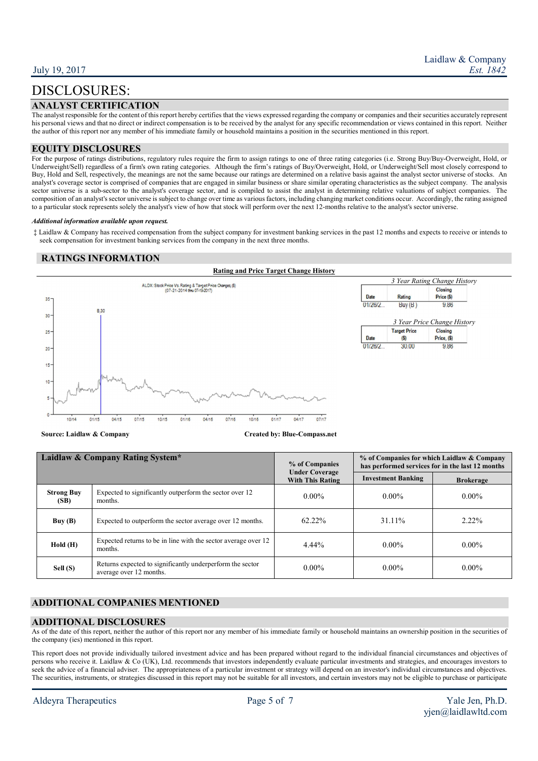## DISCLOSURES:

#### ANALYST CERTIFICATION

The analyst responsible for the content of this report hereby certifies that the views expressed regarding the company or companies and their securities accurately represent his personal views and that no direct or indirect compensation is to be received by the analyst for any specific recommendation or views contained in this report. Neither the author of this report nor any member of his immediate family or household maintains a position in the securities mentioned in this report.

#### EQUITY DISCLOSURES

For the purpose of ratings distributions, regulatory rules require the firm to assign ratings to one of three rating categories (i.e. Strong Buy/Buy-Overweight, Hold, or Underweight/Sell) regardless of a firm's own rating categories. Although the firm's ratings of Buy/Overweight, Hold, or Underweight/Sell most closely correspond to Buy, Hold and Sell, respectively, the meanings are not the same because our ratings are determined on a relative basis against the analyst sector universe of stocks. An analyst's coverage sector is comprised of companies that are engaged in similar business or share similar operating characteristics as the subject company. The analysis sector universe is a sub-sector to the analyst's coverage sector, and is compiled to assist the analyst in determining relative valuations of subject companies. The composition of an analyst's sector universe is subject to change over time as various factors, including changing market conditions occur. Accordingly, the rating assigned to a particular stock represents solely the analyst's view of how that stock will perform over the next 12-months relative to the analyst's sector universe.

#### Additional information available upon request.

 ‡ Laidlaw & Company has received compensation from the subject company for investment banking services in the past 12 months and expects to receive or intends to seek compensation for investment banking services from the company in the next three months.

#### RATINGS INFORMATION



Source: Laidlaw & Company Created by: Blue-Compass.net

| Laidlaw & Company Rating System* |                                                                                      | % of Companies<br><b>Under Coverage</b> | % of Companies for which Laidlaw & Company<br>has performed services for in the last 12 months |                  |  |
|----------------------------------|--------------------------------------------------------------------------------------|-----------------------------------------|------------------------------------------------------------------------------------------------|------------------|--|
|                                  |                                                                                      | <b>With This Rating</b>                 | <b>Investment Banking</b>                                                                      | <b>Brokerage</b> |  |
| <b>Strong Buy</b><br>(SB)        | Expected to significantly outperform the sector over 12<br>months.                   | $0.00\%$                                | $0.00\%$                                                                                       | $0.00\%$         |  |
| Buy(B)                           | Expected to outperform the sector average over 12 months.                            | $62.22\%$                               | 31.11%                                                                                         | $2.22\%$         |  |
| Hold(H)                          | Expected returns to be in line with the sector average over 12<br>months.            | $4.44\%$                                | $0.00\%$                                                                                       | $0.00\%$         |  |
| Sell (S)                         | Returns expected to significantly underperform the sector<br>average over 12 months. | $0.00\%$                                | $0.00\%$                                                                                       | $0.00\%$         |  |

### ADDITIONAL COMPANIES MENTIONED

#### ADDITIONAL DISCLOSURES

As of the date of this report, neither the author of this report nor any member of his immediate family or household maintains an ownership position in the securities of the company (ies) mentioned in this report.

This report does not provide individually tailored investment advice and has been prepared without regard to the individual financial circumstances and objectives of persons who receive it. Laidlaw & Co (UK), Ltd. recommends that investors independently evaluate particular investments and strategies, and encourages investors to seek the advice of a financial adviser. The appropriateness of a particular investment or strategy will depend on an investor's individual circumstances and objectives. The securities, instruments, or strategies discussed in this report may not be suitable for all investors, and certain investors may not be eligible to purchase or participate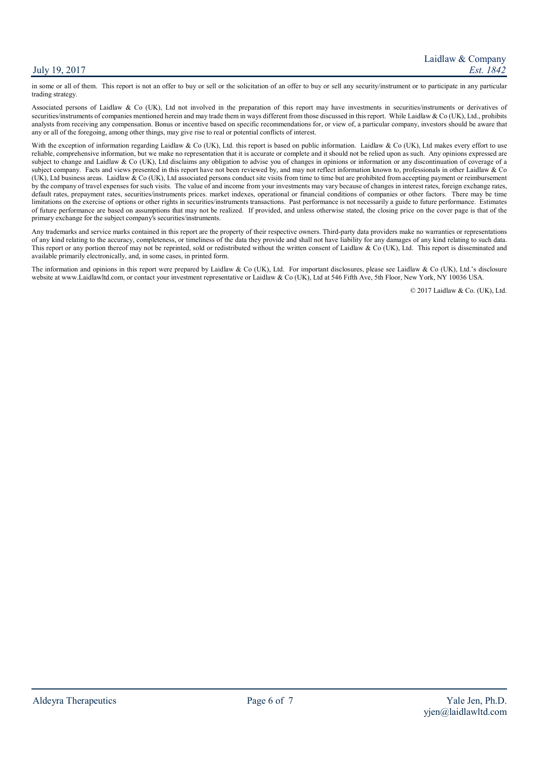#### July 19, 2017

in some or all of them. This report is not an offer to buy or sell or the solicitation of an offer to buy or sell any security/instrument or to participate in any particular trading strategy.

Associated persons of Laidlaw & Co (UK), Ltd not involved in the preparation of this report may have investments in securities/instruments or derivatives of securities/instruments of companies mentioned herein and may trade them in ways different from those discussed in this report. While Laidlaw  $\&$  Co (UK), Ltd., prohibits analysts from receiving any compensation. Bonus or incentive based on specific recommendations for, or view of, a particular company, investors should be aware that any or all of the foregoing, among other things, may give rise to real or potential conflicts of interest.

With the exception of information regarding Laidlaw & Co (UK), Ltd. this report is based on public information. Laidlaw & Co (UK), Ltd makes every effort to use reliable, comprehensive information, but we make no representation that it is accurate or complete and it should not be relied upon as such. Any opinions expressed are subject to change and Laidlaw & Co (UK), Ltd disclaims any obligation to advise you of changes in opinions or information or any discontinuation of coverage of a subject company. Facts and views presented in this report have not been reviewed by, and may not reflect information known to, professionals in other Laidlaw & Co (UK), Ltd business areas. Laidlaw & Co (UK), Ltd associated persons conduct site visits from time to time but are prohibited from accepting payment or reimbursement by the company of travel expenses for such visits. The value of and income from your investments may vary because of changes in interest rates, foreign exchange rates, default rates, prepayment rates, securities/instruments prices. market indexes, operational or financial conditions of companies or other factors. There may be time limitations on the exercise of options or other rights in securities/instruments transactions. Past performance is not necessarily a guide to future performance. Estimates of future performance are based on assumptions that may not be realized. If provided, and unless otherwise stated, the closing price on the cover page is that of the primary exchange for the subject company's securities/instruments.

Any trademarks and service marks contained in this report are the property of their respective owners. Third-party data providers make no warranties or representations of any kind relating to the accuracy, completeness, or timeliness of the data they provide and shall not have liability for any damages of any kind relating to such data. This report or any portion thereof may not be reprinted, sold or redistributed without the written consent of Laidlaw & Co (UK), Ltd. This report is disseminated and available primarily electronically, and, in some cases, in printed form.

The information and opinions in this report were prepared by Laidlaw & Co (UK), Ltd. For important disclosures, please see Laidlaw & Co (UK), Ltd.'s disclosure website at www.Laidlawltd.com, or contact your investment representative or Laidlaw & Co (UK), Ltd at 546 Fifth Ave, 5th Floor, New York, NY 10036 USA.

© 2017 Laidlaw & Co. (UK), Ltd.